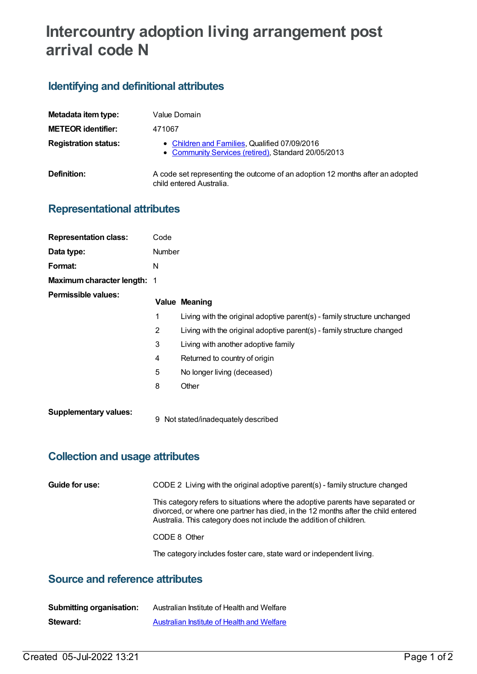# **Intercountry adoption living arrangement post arrival code N**

## **Identifying and definitional attributes**

| Metadata item type:         | Value Domain                                                                                              |
|-----------------------------|-----------------------------------------------------------------------------------------------------------|
| <b>METEOR identifier:</b>   | 471067                                                                                                    |
| <b>Registration status:</b> | • Children and Families, Qualified 07/09/2016<br>• Community Services (retired), Standard 20/05/2013      |
| Definition:                 | A code set representing the outcome of an adoption 12 months after an adopted<br>child entered Australia. |

#### **Representational attributes**

| <b>Representation class:</b> | Code          |                                                                          |
|------------------------------|---------------|--------------------------------------------------------------------------|
| Data type:                   | <b>Number</b> |                                                                          |
| Format:                      | N             |                                                                          |
| Maximum character length: 1  |               |                                                                          |
| <b>Permissible values:</b>   |               | <b>Value Meaning</b>                                                     |
|                              | 1             | Living with the original adoptive parent(s) - family structure unchanged |
|                              | 2             | Living with the original adoptive parent(s) - family structure changed   |
|                              | 3             | Living with another adoptive family                                      |
|                              | 4             | Returned to country of origin                                            |
|                              | 5             | No longer living (deceased)                                              |
|                              | 8             | Other                                                                    |
| <b>Supplementary values:</b> | 9             | Not stated/inadequately described                                        |

#### **Collection and usage attributes**

**Guide for use:** CODE 2 Living with the original adoptive parent(s) - family structure changed

This category refers to situations where the adoptive parents have separated or divorced, or where one partner has died, in the 12 months after the child entered Australia. This category does not include the addition of children.

CODE 8 Other

The category includes foster care, state ward or independent living.

#### **Source and reference attributes**

| <b>Submitting organisation:</b> | Australian Institute of Health and Welfare |
|---------------------------------|--------------------------------------------|
| Steward:                        | Australian Institute of Health and Welfare |